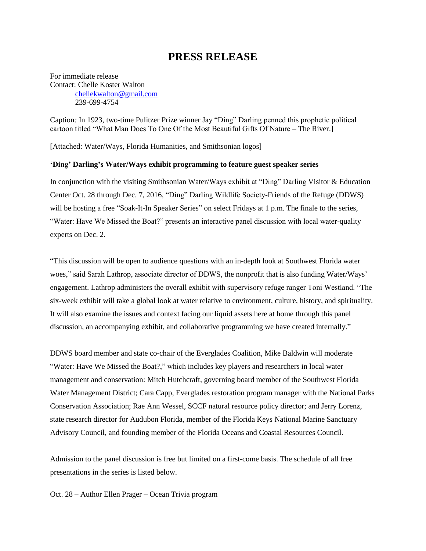## **PRESS RELEASE**

For immediate release Contact: Chelle Koster Walton [chellekwalton@gmail.com](mailto:chellekwalton@gmail.com) 239-699-4754

Caption*:* In 1923, two-time Pulitzer Prize winner Jay "Ding" Darling penned this prophetic political cartoon titled "What Man Does To One Of the Most Beautiful Gifts Of Nature – The River.]

[Attached: Water/Ways, Florida Humanities, and Smithsonian logos]

## **'Ding' Darling's Water/Ways exhibit programming to feature guest speaker series**

In conjunction with the visiting Smithsonian Water/Ways exhibit at "Ding" Darling Visitor & Education Center Oct. 28 through Dec. 7, 2016, "Ding" Darling Wildlife Society-Friends of the Refuge (DDWS) will be hosting a free "Soak-It-In Speaker Series" on select Fridays at 1 p.m. The finale to the series, "Water: Have We Missed the Boat?" presents an interactive panel discussion with local water-quality experts on Dec. 2.

"This discussion will be open to audience questions with an in-depth look at Southwest Florida water woes," said Sarah Lathrop, associate director of DDWS, the nonprofit that is also funding Water/Ways' engagement. Lathrop administers the overall exhibit with supervisory refuge ranger Toni Westland. "The six-week exhibit will take a global look at water relative to environment, culture, history, and spirituality. It will also examine the issues and context facing our liquid assets here at home through this panel discussion, an accompanying exhibit, and collaborative programming we have created internally."

DDWS board member and state co-chair of the Everglades Coalition, Mike Baldwin will moderate "Water: Have We Missed the Boat?," which includes key players and researchers in local water management and conservation: Mitch Hutchcraft, governing board member of the Southwest Florida Water Management District; Cara Capp, Everglades restoration program manager with the National Parks Conservation Association; Rae Ann Wessel, SCCF natural resource policy director; and Jerry Lorenz, state research director for Audubon Florida, member of the Florida Keys National Marine Sanctuary Advisory Council, and founding member of the Florida Oceans and Coastal Resources Council.

Admission to the panel discussion is free but limited on a first-come basis. The schedule of all free presentations in the series is listed below.

Oct. 28 – Author Ellen Prager – Ocean Trivia program